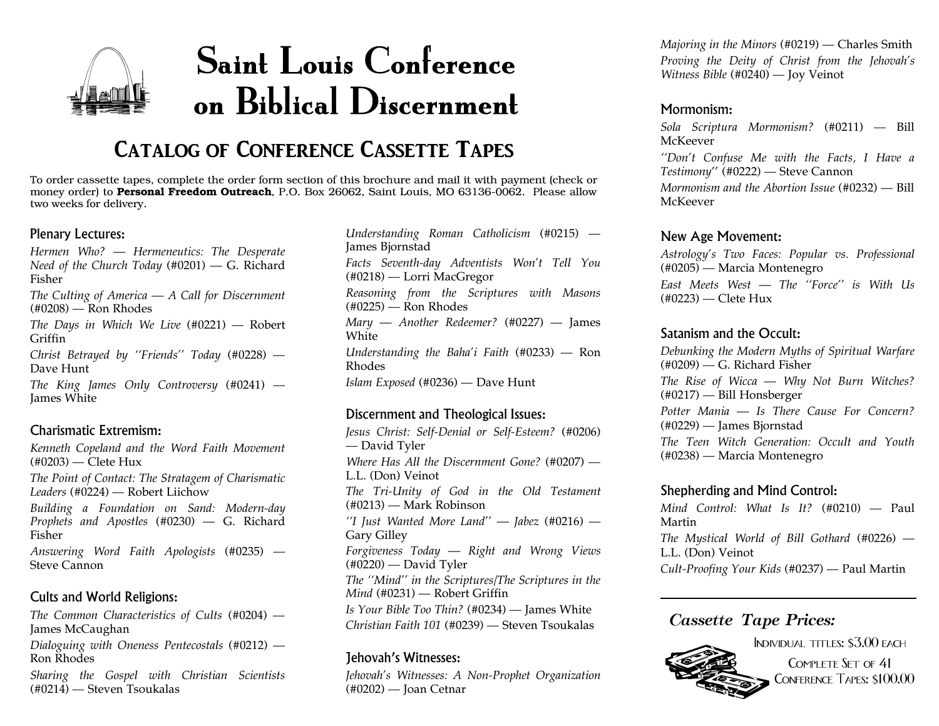## Saint Louis Conference on Biblical Discernment

## **Catalog of Conference Cassette Tapes**

To order cassette tapes, complete the order form section of this brochure and mail it with paymen<sup>t</sup> (check or money order) to **Personal Freedom Outreach**, P.O. Box 26062, Saint Louis, MO 63136-0062. Please allow two weeks for delivery.

#### Plenary Lectures:

*Hermen Who? — Hermeneutics: The Desperate Need of the Church Today* (#0201) — G. Richard Fisher*The Culting of America — A Call for Discernment* (#0208) — Ron Rhodes *The Days in Which We Live* (#0221) — Robert

Griffin*Christ Betrayed by ''Friends'' Today* (#0228) — Dave Hunt

*The King James Only Controversy* (#0241) — James White

#### Charismatic Extremism:

*Kenneth Copeland and the Word Faith Movement* (#0203) — Clete Hux *The Point of Contact: The Stratagem of Charismatic Leaders* (#0224) — Robert Liichow *Building <sup>a</sup> Foundation on Sand: Modern-day Prophets and Apostles* (#0230) — G. Richard Fisher*Answering Word Faith Apologists* (#0235) — Steve Cannon

#### Cults and World Religions:

*The Common Characteristics of Cults* (#0204) — James McCaughan *Dialoguing with Oneness Pentecostals* (#0212) — Ron Rhodes*Sharing the Gospel with Christian Scientists* (#0214) — Steven Tsoukalas

*Understanding Roman Catholicism* (#0215) — James Bjornstad *Facts Seventh-day Adventists Won't Tell You* (#0218) — Lorri MacGregor *Reasoning from the Scriptures with Masons*  $(\text{\#}0225)$  — Ron Rhodes *Mary — Another Redeemer?* (#0227) — James White*Understanding the Baha'i Faith* (#0233) — Ron Rhodes*Islam Exposed* (#0236) — Dave Hunt

#### Discernment and Theological Issues:

*Jesus Christ: Self-Denial or Self-Esteem?* (#0206) — David Tyler *Where Has All the Discernment Gone?* (#0207) — L.L. (Don) Veinot *The Tri-Unity of God in the Old Testament* (#0213) — Mark Robinson *''I Just Wanted More Land'' — Jabez* (#0216) — Gary Gilley *Forgiveness Today — Right and Wrong Views*  $(40220)$  — David Tyler *The ''Mind'' in the Scriptures/The Scriptures in the Mind* (#0231) — Robert Griffin *Is Your Bible Too Thin?* (#0234) — James White *Christian Faith 101* (#0239) — Steven Tsoukalas

#### Jehovah's Witnesses:

*Jehovah's Witnesses: A Non-Prophet Organization* (#0202) — Joan Cetnar

*Majoring in the Minors* (#0219) — Charles Smith *Proving the Deity of Christ from the Jehovah's Witness Bible* (#0240) — Joy Veinot

#### Mormonism:

*Sola Scriptura Mormonism?* (#0211) — Bill McKeever*''Don't Confuse Me with the Facts, <sup>I</sup> Have <sup>a</sup> Testimony*'' (#0222) — Steve Cannon *Mormonism and the Abortion Issue* (#0232) — Bill McKeever

#### New Age Movement:

*Astrology's Two Faces: Popular vs. Professional* (#0205) — Marcia Montenegro *East Meets West — The ''Force'' is With Us*

(#0223) — Clete Hux

#### Satanism and the Occult:

*Debunking the Modern Myths of Spiritual Warfare* (#0209) — G. Richard Fisher *The Rise of Wicca — Why Not Burn Witches?* (#0217) — Bill Honsberger *Potter Mania — Is There Cause For Concern?*(#0229) — James Bjornstad

*The Teen Witch Generation: Occult and Youth* (#0238) — Marcia Montenegro

#### Shepherding and Mind Control:

*Mind Control: What Is It?* (#0210) — Paul Martin*The Mystical World of Bill Gothard* (#0226) — L.L. (Don) Veinot *Cult-Proofing Your Kids* (#0237) — Paul Martin

#### *Cassette Tape Prices:*